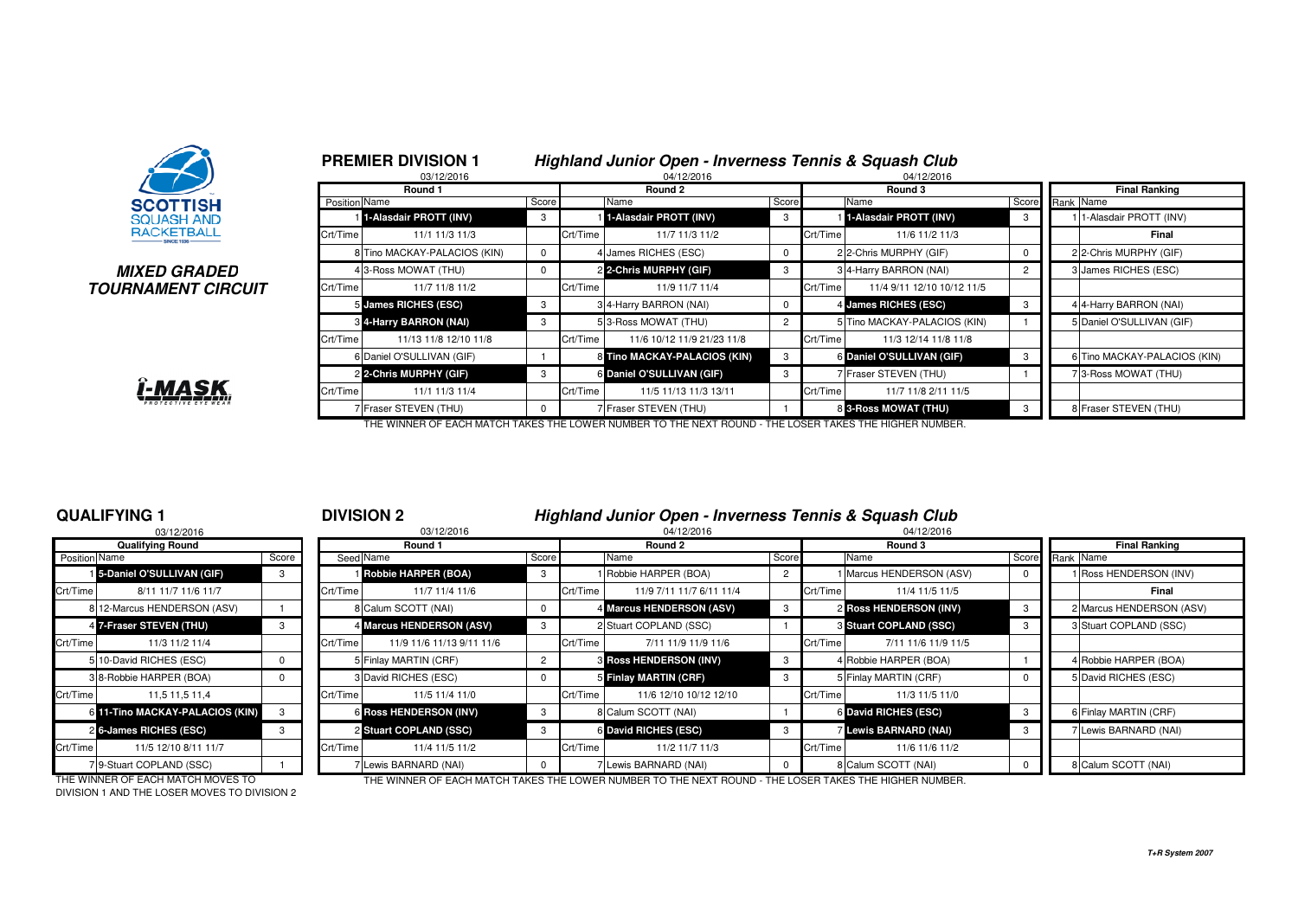

# **MIXED GRADEDTOURNAMENT CIRCUIT**



|               | Round 1                       |       |          | Round 2                      |                |          | Round 3                      |       | <b>Final Ranking</b> |                              |  |
|---------------|-------------------------------|-------|----------|------------------------------|----------------|----------|------------------------------|-------|----------------------|------------------------------|--|
| Position Name |                               | Score |          | Score<br>Name                |                |          | Name                         | Score | Rank Name            |                              |  |
|               | 1-Alasdair PROTT (INV)        | 3     |          | 1-Alasdair PROTT (INV)       | 3              |          | 1-Alasdair PROTT (INV)       | 3     |                      | 1-Alasdair PROTT (INV)       |  |
| Crt/Time      | 11/1 11/3 11/3                |       | Crt/Time | 11/7 11/3 11/2               |                | Crt/Time | 11/6 11/2 11/3               |       |                      | Final                        |  |
|               | 8 Tino MACKAY-PALACIOS (KIN)  |       |          | 4 James RICHES (ESC)         | $^{\circ}$     |          | 2 2-Chris MURPHY (GIF)       | 0     |                      | 2 2-Chris MURPHY (GIF)       |  |
|               | 4 3-Ross MOWAT (THU)          |       |          | 2 2-Chris MURPHY (GIF)       | 3              |          | 3 4-Harry BARRON (NAI)       | 2     |                      | 3 James RICHES (ESC)         |  |
| Crt/Time      | 11/7 11/8 11/2                |       | Crt/Time | 11/9 11/7 11/4               |                | Crt/Time | 11/4 9/11 12/10 10/12 11/5   |       |                      |                              |  |
|               | 5 James RICHES (ESC)          | 3     |          | 3 4-Harry BARRON (NAI)       | $^{\circ}$     |          | 4 James RICHES (ESC)         | 3     |                      | 4 4-Harry BARRON (NAI)       |  |
|               | <b>8 4-Harry BARRON (NAI)</b> | 3     |          | 5 3-Ross MOWAT (THU)         | $\overline{2}$ |          | 5 Tino MACKAY-PALACIOS (KIN) |       |                      | 5 Daniel O'SULLIVAN (GIF)    |  |
| Crt/Time      | 11/13 11/8 12/10 11/8         |       | Crt/Time | 11/6 10/12 11/9 21/23 11/8   |                | Crt/Time | 11/3 12/14 11/8 11/8         |       |                      |                              |  |
|               | 6 Daniel O'SULLIVAN (GIF)     |       |          | 8 Tino MACKAY-PALACIOS (KIN) | 3              |          | 6 Daniel O'SULLIVAN (GIF)    | 3     |                      | 6 Tino MACKAY-PALACIOS (KIN) |  |
|               | 2 2-Chris MURPHY (GIF)        |       |          | 6 Daniel O'SULLIVAN (GIF)    | 3              |          | Fraser STEVEN (THU)          |       |                      | 7 3-Ross MOWAT (THU)         |  |
| Crt/Time      | 11/1 11/3 11/4                |       | Crt/Time | 11/5 11/13 11/3 13/11        |                | Crt/Time | 11/7 11/8 2/11 11/5          |       |                      |                              |  |
|               | Fraser STEVEN (THU)           |       |          | Fraser STEVEN (THU)          |                |          | 8 3-Ross MOWAT (THU)         | 3     |                      | 8 Fraser STEVEN (THU)        |  |

THE WINNER OF EACH MATCH TAKES THE LOWER NUMBER TO THE NEXT ROUND - THE LOSER TAKES THE HIGHER NUMBER.

# **QUALIFYING 1**

|               | 03/12/2016                    |       |
|---------------|-------------------------------|-------|
|               | <b>Qualifying Round</b>       |       |
| Position Name |                               | Score |
|               | 15-Daniel O'SULLIVAN (GIF)    | 3     |
| Crt/Time      | 8/11 11/7 11/6 11/7           |       |
|               | 812-Marcus HENDERSON (ASV)    |       |
|               | 4 7-Fraser STEVEN (THU)       | 3     |
| Crt/Time      | 11/3 11/2 11/4                |       |
|               | 5 10-David RICHES (ESC)       | 0     |
|               | 38-Robbie HARPER (BOA)        | n     |
| Crt/Time      | 11,5 11,5 11,4                |       |
| 6             | 11-Tino MACKAY-PALACIOS (KIN) | 3     |
|               | 26-James RICHES (ESC)         | 3     |
| Crt/Time      | 11/5 12/10 8/11 11/7          |       |
|               | 79-Stuart COPLAND (SSC)       |       |

# <sup>1</sup> **DIVISION 2 Highland Junior Open - Inverness Tennis & Squash Club**

|               | 03/12/2016                      |       |          | 03/12/2016                |                |          | 04/12/2016                    |       |          | 04/12/2016                 |    |                          |
|---------------|---------------------------------|-------|----------|---------------------------|----------------|----------|-------------------------------|-------|----------|----------------------------|----|--------------------------|
|               | <b>Qualifying Round</b>         |       |          | Round 1                   |                |          | Round 2                       |       |          | Round 3                    |    | <b>Final Ranking</b>     |
| Position Name |                                 | Score |          | Seed Name                 | Score          |          | Name                          | Score |          | Name                       |    | Score Rank Name          |
|               | 15-Daniel O'SULLIVAN (GIF)      |       |          | Robbie HARPER (BOA)       | 3              |          | I Robbie HARPER (BOA)         |       |          | 1 Marcus HENDERSON (ASV)   |    | I Ross HENDERSON (INV)   |
| Crt/Time      | 8/11 11/7 11/6 11/7             |       | Crt/Time | 11/7 11/4 11/6            |                | Crt/Time | 11/9 7/11 11/7 6/11 11/4      |       | Crt/Time | 11/4 11/5 11/5             |    | Final                    |
|               | 8 12-Marcus HENDERSON (ASV)     |       |          | 8 Calum SCOTT (NAI)       | $^{\circ}$     |          | 4 Marcus HENDERSON (ASV)      |       |          | 2 Ross HENDERSON (INV)     | -3 | 2 Marcus HENDERSON (ASV) |
|               | 4 7-Fraser STEVEN (THU)         |       |          | 4 Marcus HENDERSON (ASV)  | 3              |          | 2 Stuart COPLAND (SSC)        |       |          | 3 Stuart COPLAND (SSC)     |    | 3 Stuart COPLAND (SSC)   |
| Crt/Time      | 11/3 11/2 11/4                  |       | Crt/Time | 11/9 11/6 11/13 9/11 11/6 |                | Crt/Time | 7/11 11/9 11/9 11/6           |       | Crt/Time | 7/11 11/6 11/9 11/5        |    |                          |
|               | 5 10-David RICHES (ESC)         |       |          | 5 Finlay MARTIN (CRF)     | $\overline{2}$ |          | <b>3 Ross HENDERSON (INV)</b> | -3    |          | 4 Robbie HARPER (BOA)      |    | 4 Robbie HARPER (BOA)    |
|               | 3 8-Robbie HARPER (BOA)         |       |          | 3 David RICHES (ESC)      | $^{\circ}$     |          | 5 Finlay MARTIN (CRF)         |       |          | 5 Finlay MARTIN (CRF)      |    | 5 David RICHES (ESC)     |
| Crt/Time      | 11,5 11,5 11,4                  |       | Crt/Time | 11/5 11/4 11/0            |                | Crt/Time | 11/6 12/10 10/12 12/10        |       | Crt/Time | 11/3 11/5 11/0             |    |                          |
|               | 6 11-Tino MACKAY-PALACIOS (KIN) |       |          | 6 Ross HENDERSON (INV)    | -3             |          | 8 Calum SCOTT (NAI)           |       |          | 6 David RICHES (ESC)       |    | 6 Finlay MARTIN (CRF)    |
|               | 2 6-James RICHES (ESC)          |       |          | 2 Stuart COPLAND (SSC)    | 3              |          | 6 David RICHES (ESC)          |       |          | <b>Lewis BARNARD (NAI)</b> |    | 7 Lewis BARNARD (NAI)    |
| Crt/Time      | 11/5 12/10 8/11 11/7            |       | Crt/Time | 11/4 11/5 11/2            |                | Crt/Time | 11/2 11/7 11/3                |       | Crt/Time | 11/6 11/6 11/2             |    |                          |
|               | 79-Stuart COPLAND (SSC)         |       |          | 7 Lewis BARNARD (NAI)     | 0              |          | Lewis BARNARD (NAI)           |       |          | 8 Calum SCOTT (NAI)        |    | 8 Calum SCOTT (NAI)      |

DIVISION 1 AND THE LOSER MOVES TO DIVISION 2

THE WINNER OF EACH MATCH MOVES TO THE WINNER OF EACH MATCH TAKES THE LOWER NUMBER TO THE NEXT ROUND - THE LOSER TAKES THE HIGHER NUMBER.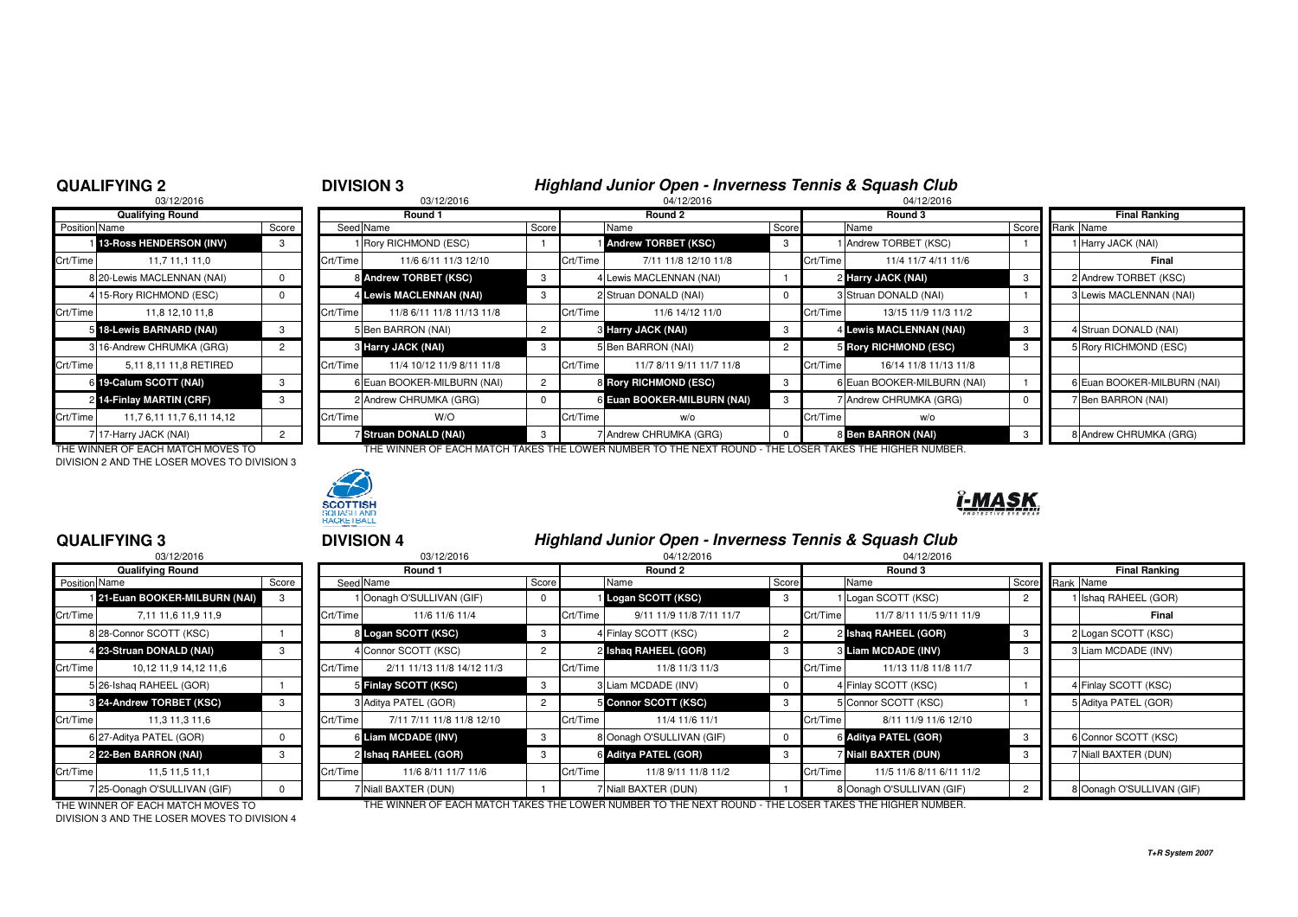## **QUALIFYING 2**

# <sup>2</sup> **DIVISION 3 Highland Junior Open - Inverness Tennis & Squash Club** <sup>8</sup> 03/12/2016 04/12/2016 04/12/2016

|                | 03/12/2016                 |       |          |
|----------------|----------------------------|-------|----------|
|                | <b>Qualifying Round</b>    |       |          |
| Position Name  |                            | Score | Seed     |
| $\blacksquare$ | 13-Ross HENDERSON (INV)    | 3     |          |
| Crt/Time       | 11.7 11.1 11.0             |       | Crt/Time |
|                | 8 20-Lewis MACLENNAN (NAI) | 0     | 8        |
|                | 4 15-Rory RICHMOND (ESC)   | 0     | 4        |
| Crt/Time       | 11,8 12,10 11,8            |       | Crt/Time |
| 5              | 18-Lewis BARNARD (NAI)     | 3     | 5        |
|                | 3 16-Andrew CHRUMKA (GRG)  | 2     | 3        |
| Crt/Time       | 5,11 8,11 11,8 RETIRED     |       | Crt/Time |
| 6              | 19-Calum SCOTT (NAI)       | 3     | 6        |
| $\overline{c}$ | 14-Finlay MARTIN (CRF)     | 3     | 2        |
| Crt/Time       | 11,76,11 11,76,11 14,12    |       | Crt/Time |
| 7              | 17-Harry JACK (NAI)        | 2     |          |

DIVISION 2 AND THE LOSER MOVES TO DIVISION 3



|               | <b>Qualifying Round</b>    |       |                       | Round 1                     |                |          | Round 2                     |       |          | Round 3                     |       |           | <b>Final Ranking</b>        |
|---------------|----------------------------|-------|-----------------------|-----------------------------|----------------|----------|-----------------------------|-------|----------|-----------------------------|-------|-----------|-----------------------------|
| Position Name |                            | Score |                       | Seed Name                   | Score          |          | Name                        | Score |          | Name                        | Score | Rank Name |                             |
|               | 1 13-Ross HENDERSON (INV)  |       |                       | 1 Rory RICHMOND (ESC)       |                |          | <b>Andrew TORBET (KSC)</b>  |       |          | 1 Andrew TORBET (KSC)       |       |           | 1 Harry JACK (NAI)          |
| Crt/Time      | 11.7 11.1 11.0             |       | Crt/Time <sup>l</sup> | 11/6 6/11 11/3 12/10        |                | Crt/Time | 7/11 11/8 12/10 11/8        |       | Crt/Time | 11/4 11/7 4/11 11/6         |       |           | Final                       |
|               | 8 20-Lewis MACLENNAN (NAI) |       |                       | 8 Andrew TORBET (KSC)       | 3              |          | Lewis MACLENNAN (NAI)       |       |          | 2 Harry JACK (NAI)          |       |           | 2 Andrew TORBET (KSC)       |
|               | 4 15-Rory RICHMOND (ESC)   |       |                       | 4 Lewis MACLENNAN (NAI)     | 3              |          | 2 Struan DONALD (NAI)       |       |          | 3 Struan DONALD (NAI)       |       |           | 3 Lewis MACLENNAN (NAI)     |
| Crt/Time      | 11,8 12,10 11,8            |       | Crt/Time              | 11/8 6/11 11/8 11/13 11/8   |                | Crt/Time | 11/6 14/12 11/0             |       | Crt/Time | 13/15 11/9 11/3 11/2        |       |           |                             |
|               | 5 18-Lewis BARNARD (NAI)   |       |                       | 5 Ben BARRON (NAI)          |                |          | <b>8 Harry JACK (NAI)</b>   |       |          | 4 Lewis MACLENNAN (NAI)     |       |           | 4 Struan DONALD (NAI)       |
|               | 3 16-Andrew CHRUMKA (GRG)  |       |                       | <b>8 Harry JACK (NAI)</b>   | 3              |          | 5 Ben BARRON (NAI)          |       |          | 5 Rory RICHMOND (ESC)       |       |           | 5 Rory RICHMOND (ESC)       |
| Crt/Time      | 5.11 8.11 11.8 RETIRED     |       | Crt/Time              | 11/4 10/12 11/9 8/11 11/8   |                | Crt/Time | 11/7 8/11 9/11 11/7 11/8    |       | Crt/Time | 16/14 11/8 11/13 11/8       |       |           |                             |
|               | 6 19-Calum SCOTT (NAI)     |       |                       | 6 Euan BOOKER-MILBURN (NAI) | $\overline{2}$ |          | 8 Rory RICHMOND (ESC)       |       |          | 6 Euan BOOKER-MILBURN (NAI) |       |           | 6 Euan BOOKER-MILBURN (NAI) |
|               | 2 14-Finlay MARTIN (CRF)   |       |                       | 2 Andrew CHRUMKA (GRG)      |                |          | 6 Euan BOOKER-MILBURN (NAI) |       |          | 7 Andrew CHRUMKA (GRG)      |       |           | 7 Ben BARRON (NAI)          |
| Crt/Time      | 11,76,11 11,76,11 14,12    |       | Crt/Time              | W/O                         |                | Crt/Time | w/o                         |       | Crt/Time | w/o                         |       |           |                             |
|               | 717-Harry JACK (NAI)       |       |                       | 7 Struan DONALD (NAI)       | -3             |          | 7 Andrew CHRUMKA (GRG)      |       |          | 8 Ben BARRON (NAI)          |       |           | 8 Andrew CHRUMKA (GRG)      |

THE WINNER OF EACH MATCH MOVES TO THE WINNER OF EACH MATCH TAKES THE LOWER NUMBER TO THE NEXT ROUND - THE LOSER TAKES THE HIGHER NUMBER.

# i-MASK

# **QUALIFYING 3**

|               | 03/12/2016                    |       |          |
|---------------|-------------------------------|-------|----------|
|               | <b>Qualifying Round</b>       |       |          |
| Position Name |                               | Score | Seed     |
|               | 121-Euan BOOKER-MILBURN (NAI) | 3     |          |
| Crt/Time      | 7.11 11.6 11.9 11.9           |       | Crt/Time |
|               | 8 28-Connor SCOTT (KSC)       |       | 8        |
|               | 4 23-Struan DONALD (NAI)      | 3     | 4        |
| Crt/Time      | 10,12 11,9 14,12 11.6         |       | Crt/Time |
|               | 5 26-Ishaq RAHEEL (GOR)       |       | 5        |
|               | 8 24-Andrew TORBET (KSC)      | 3     | 3        |
| Crt/Time      | 11,3 11,3 11,6                |       | Crt/Time |
|               | 6 27-Aditya PATEL (GOR)       | 0     | 6        |
|               | 2 22-Ben BARRON (NAI)         | 3     | 2        |
| Crt/Time      | 11,5 11,5 11,1                |       | Crt/Time |
|               | 25-Oonagh O'SULLIVAN (GIF)    | n     | 7        |

THE WINNER OF EACH MATCH MOVES TO THE WINNER OF EACH MATCH TAKES THE LOWER NUMBER TO THE NEXT ROUND - THE LOSER TAKES

DIVISION 3 AND THE LOSER MOVES TO DIVISION 4

| <b>QUALIFYING 3</b>         |                                                          |          |                            |                                                                                                                                                                                                                                                                        |            |                          |                                                                                                                                                                                                                                                                  |                                                       |                                                                                                                                                                                                                                                                         |                           |
|-----------------------------|----------------------------------------------------------|----------|----------------------------|------------------------------------------------------------------------------------------------------------------------------------------------------------------------------------------------------------------------------------------------------------------------|------------|--------------------------|------------------------------------------------------------------------------------------------------------------------------------------------------------------------------------------------------------------------------------------------------------------|-------------------------------------------------------|-------------------------------------------------------------------------------------------------------------------------------------------------------------------------------------------------------------------------------------------------------------------------|---------------------------|
| 03/12/2016                  |                                                          |          |                            |                                                                                                                                                                                                                                                                        | 04/12/2016 |                          | 04/12/2016                                                                                                                                                                                                                                                       |                                                       |                                                                                                                                                                                                                                                                         |                           |
|                             |                                                          |          |                            |                                                                                                                                                                                                                                                                        |            |                          |                                                                                                                                                                                                                                                                  |                                                       |                                                                                                                                                                                                                                                                         | <b>Final Ranking</b>      |
|                             |                                                          |          |                            |                                                                                                                                                                                                                                                                        |            |                          |                                                                                                                                                                                                                                                                  |                                                       |                                                                                                                                                                                                                                                                         | Score Rank Name           |
|                             |                                                          |          |                            | $\mathbf{0}$                                                                                                                                                                                                                                                           |            |                          |                                                                                                                                                                                                                                                                  |                                                       |                                                                                                                                                                                                                                                                         | Ishaq RAHEEL (GOR)        |
| 7,11 11,6 11,9 11,9         |                                                          | Crt/Time | 11/6 11/6 11/4             |                                                                                                                                                                                                                                                                        |            | 9/11 11/9 11/8 7/11 11/7 |                                                                                                                                                                                                                                                                  | 11/7 8/11 11/5 9/11 11/9                              |                                                                                                                                                                                                                                                                         | Final                     |
| 8 28-Connor SCOTT (KSC)     |                                                          |          |                            | -3                                                                                                                                                                                                                                                                     |            |                          |                                                                                                                                                                                                                                                                  |                                                       | -3                                                                                                                                                                                                                                                                      | 2 Logan SCOTT (KSC)       |
| 4 23-Struan DONALD (NAI)    |                                                          |          |                            | $\overline{2}$                                                                                                                                                                                                                                                         |            |                          | -3                                                                                                                                                                                                                                                               |                                                       | -3                                                                                                                                                                                                                                                                      | 3 Liam MCDADE (INV)       |
| 10,12 11,9 14,12 11,6       |                                                          | Crt/Time | 2/11 11/13 11/8 14/12 11/3 |                                                                                                                                                                                                                                                                        |            | 11/8 11/3 11/3           |                                                                                                                                                                                                                                                                  | 11/13 11/8 11/8 11/7                                  |                                                                                                                                                                                                                                                                         |                           |
| 5 26-Ishaq RAHEEL (GOR)     |                                                          |          |                            | $\mathbf{3}$                                                                                                                                                                                                                                                           |            |                          |                                                                                                                                                                                                                                                                  |                                                       |                                                                                                                                                                                                                                                                         | 4 Finlay SCOTT (KSC)      |
| 8 24-Andrew TORBET (KSC)    |                                                          |          |                            | $\overline{2}$                                                                                                                                                                                                                                                         |            |                          | -3                                                                                                                                                                                                                                                               |                                                       |                                                                                                                                                                                                                                                                         | 5 Aditya PATEL (GOR)      |
| 11,3 11,3 11,6              |                                                          | Crt/Time | 7/11 7/11 11/8 11/8 12/10  |                                                                                                                                                                                                                                                                        |            | 11/4 11/6 11/1           |                                                                                                                                                                                                                                                                  | 8/11 11/9 11/6 12/10                                  |                                                                                                                                                                                                                                                                         |                           |
| 6 27-Aditya PATEL (GOR)     |                                                          |          |                            | 3                                                                                                                                                                                                                                                                      |            |                          |                                                                                                                                                                                                                                                                  |                                                       | -3                                                                                                                                                                                                                                                                      | 6 Connor SCOTT (KSC)      |
| 2 22-Ben BARRON (NAI)       |                                                          |          |                            | 3                                                                                                                                                                                                                                                                      |            |                          | -3                                                                                                                                                                                                                                                               |                                                       |                                                                                                                                                                                                                                                                         | Niall BAXTER (DUN)        |
| 11,5 11,5 11,1              |                                                          |          | 11/6 8/11 11/7 11/6        |                                                                                                                                                                                                                                                                        |            | 11/8 9/11 11/8 11/2      |                                                                                                                                                                                                                                                                  | 11/5 11/6 8/11 6/11 11/2                              |                                                                                                                                                                                                                                                                         |                           |
| 725-Oonagh O'SULLIVAN (GIF) |                                                          |          |                            |                                                                                                                                                                                                                                                                        |            |                          |                                                                                                                                                                                                                                                                  |                                                       |                                                                                                                                                                                                                                                                         | 8 Oonagh O'SULLIVAN (GIF) |
|                             | <b>Qualifying Round</b><br>121-Euan BOOKER-MILBURN (NAI) | Score    |                            | <b>DIVISION 4</b><br>03/12/2016<br>Round 1<br>Seed Name<br>1 Oonagh O'SULLIVAN (GIF)<br>8 Logan SCOTT (KSC)<br>4 Connor SCOTT (KSC)<br>5 Finlay SCOTT (KSC)<br>3 Aditya PATEL (GOR)<br>6 Liam MCDADE (INV)<br>2 Ishaq RAHEEL (GOR)<br>Crt/Time<br>7 Niall BAXTER (DUN) | Score      |                          | Round 2<br>Name<br>Logan SCOTT (KSC)<br>Crt/Time<br>4 Finlay SCOTT (KSC)<br>2 Ishaq RAHEEL (GOR)<br>Crt/Time<br>3 Liam MCDADE (INV)<br>S Connor SCOTT (KSC)<br>Crt/Time<br>8 Oonagh O'SULLIVAN (GIF)<br>6 Aditya PATEL (GOR)<br>Crt/Time<br>7 Niall BAXTER (DUN) | Score<br>Crt/Time<br>Crt/Time<br>Crt/Time<br>Crt/Time | Highland Junior Open - Inverness Tennis & Squash Club<br>Round 3<br>Name<br>Logan SCOTT (KSC)<br>2 Ishaq RAHEEL (GOR)<br>3 Liam MCDADE (INV)<br>4 Finlay SCOTT (KSC)<br>5 Connor SCOTT (KSC)<br>6 Aditya PATEL (GOR)<br>Niall BAXTER (DUN)<br>8 Oonagh O'SULLIVAN (GIF) |                           |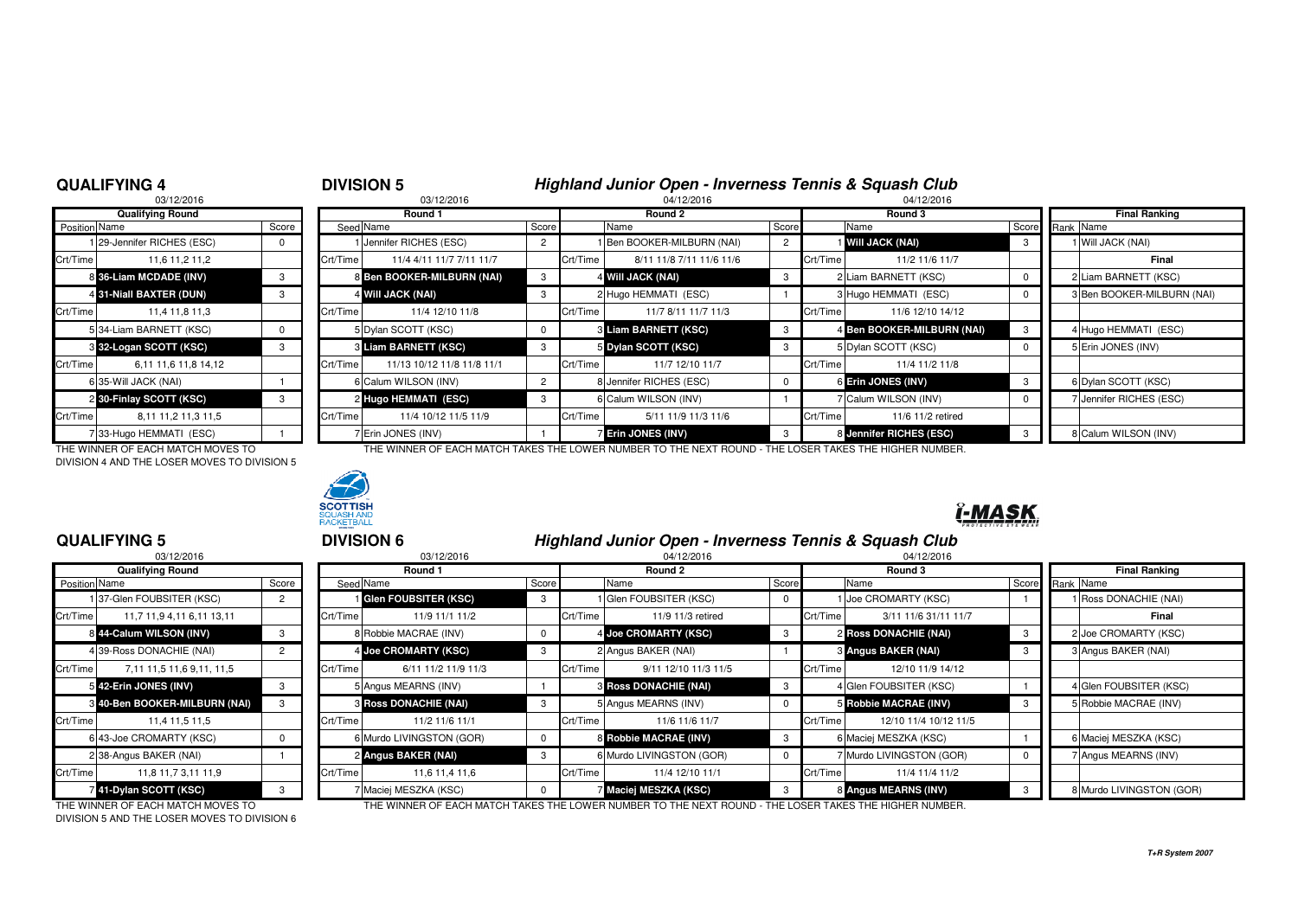### **QUALIFYING 4**

#### **DIVISION 5**<br> $\frac{1}{2}$  **Highland Junior Open - Inverness Tennis & Squash Club**<br> $\frac{04}{12/2016}$ 04/12/2016

| 03/12/2016           |                          |          |          | 03/12/2016                 | 04/12/2016 |          |                            |              |          |                            | 04/12/2016 |                            |  |  |
|----------------------|--------------------------|----------|----------|----------------------------|------------|----------|----------------------------|--------------|----------|----------------------------|------------|----------------------------|--|--|
|                      | <b>Qualifying Round</b>  |          |          | Round 1                    |            |          | Round 2                    |              |          | Round 3                    |            | <b>Final Ranking</b>       |  |  |
| <b>Position Name</b> |                          | Score    |          | Seed Name                  | Score      |          | Name                       | Score        |          | Name                       |            | Score Rank Name            |  |  |
|                      | 29-Jennifer RICHES (ESC) | $\Omega$ |          | Jennifer RICHES (ESC)      |            |          | I Ben BOOKER-MILBURN (NAI) |              |          | 1 Will JACK (NAI)          | - 3        | 1 Will JACK (NAI)          |  |  |
| Crt/Time             | 11,6 11,2 11,2           |          | Crt/Time | 11/4 4/11 11/7 7/11 11/7   |            | Crt/Time | 8/11 11/8 7/11 11/6 11/6   |              | Crt/Time | 11/2 11/6 11/7             |            | Final                      |  |  |
|                      | 8 36-Liam MCDADE (INV)   |          |          | 8 Ben BOOKER-MILBURN (NAI) | -3         |          | 4 Will JACK (NAI)          | 3            |          | 2 Liam BARNETT (KSC)       |            | 2 Liam BARNETT (KSC)       |  |  |
|                      | 4 31-Niall BAXTER (DUN)  | 3        |          | 4 Will JACK (NAI)          | - 3        |          | 2 Hugo HEMMATI (ESC)       |              |          | 3 Hugo HEMMATI (ESC)       |            | 3 Ben BOOKER-MILBURN (NAI) |  |  |
| Crt/Time             | 11,4 11,8 11,3           |          | Crt/Time | 11/4 12/10 11/8            |            | Crt/Time | 11/7 8/11 11/7 11/3        |              | Crt/Time | 11/6 12/10 14/12           |            |                            |  |  |
|                      | 534-Liam BARNETT (KSC)   |          |          | 5 Dylan SCOTT (KSC)        |            |          | 3 Liam BARNETT (KSC)       | 3            |          | 4 Ben BOOKER-MILBURN (NAI) |            | 4 Hugo HEMMATI (ESC)       |  |  |
|                      | 3 32-Logan SCOTT (KSC)   | 3        |          | 8 Liam BARNETT (KSC)       | -3         |          | 5 Dylan SCOTT (KSC)        | -3           |          | 5 Dylan SCOTT (KSC)        |            | 5 Erin JONES (INV)         |  |  |
| Crt/Time             | 6,11 11,6 11,8 14,12     |          | Crt/Time | 11/13 10/12 11/8 11/8 11/1 |            | Crt/Time | 11/7 12/10 11/7            |              | Crt/Time | 11/4 11/2 11/8             |            |                            |  |  |
|                      | 6 35-Will JACK (NAI)     |          |          | 6 Calum WILSON (INV)       |            |          | 8 Jennifer RICHES (ESC)    | <sup>0</sup> |          | 6 Erin JONES (INV)         |            | 6 Dylan SCOTT (KSC)        |  |  |
|                      | 2 30-Finlay SCOTT (KSC)  | 3        |          | 2 Hugo HEMMATI (ESC)       | -3         |          | 6 Calum WILSON (INV)       |              |          | 7 Calum WILSON (INV)       |            | 7 Jennifer RICHES (ESC)    |  |  |
| Crt/Time             | 8,11 11,2 11,3 11,5      |          | Crt/Time | 11/4 10/12 11/5 11/9       |            | Crt/Time | 5/11 11/9 11/3 11/6        |              | Crt/Time | 11/6 11/2 retired          |            |                            |  |  |
|                      | 733-Hugo HEMMATI (ESC)   |          |          | 7 Erin JONES (INV)         |            |          | <b>7 Erin JONES (INV)</b>  | -3           |          | 8 Jennifer RICHES (ESC)    |            | 8 Calum WILSON (INV)       |  |  |

DIVISION 4 AND THE LOSER MOVES TO DIVISION 5



#### 7 Erin JONES (INV) 2 1 1 7 Erin JONES (INV) **EXAMPLE 3 8 3 3 8 JUNES (INCRES (ESC) 3 8 Calum WILSON (INV)** THE WINNER OF EACH MATCH MOVES TO THE WINNER OF EACH MATCH TAKES THE LOWER NUMBER TO THE NEXT ROUND - THE LOSER TAKES THE HIGHER NUMBER.

<sup>5</sup> **DIVISION 6 Highland Junior Open - Inverness Tennis & Squash Club**

# ĭ-MASK

## **QUALIFYING 5**

|               | 03/12/2016                    |       |          |
|---------------|-------------------------------|-------|----------|
|               | <b>Qualifying Round</b>       |       |          |
| Position Name |                               | Score | Seed     |
|               | 37-Glen FOUBSITER (KSC)       | 2     |          |
| Crt/Time      | 11,7 11,9 4,11 6,11 13,11     |       | Crt/Time |
|               | 8 44-Calum WILSON (INV)       | 3     | 8        |
|               | 4 39-Ross DONACHIE (NAI)      | 2     | 4        |
| Crt/Time      | 7.11 11.5 11.6 9.11. 11.5     |       | Crt/Time |
|               | 5 42-Erin JONES (INV)         | 3     | 5        |
|               | 8 40-Ben BOOKER-MILBURN (NAI) | 3     | 3        |
| Crt/Time      | 11.4 11.5 11.5                |       | Crt/Time |
|               | 6 43-Joe CROMARTY (KSC)       | 0     | 6        |
|               | 2 38-Angus BAKER (NAI)        |       | 2        |
| Crt/Time      | 11.8 11.7 3.11 11.9           |       | Crt/Time |
|               | 741-Dylan SCOTT (KSC)         | 3     |          |

|                                         |       |          |                              |              |          | $1.0911$ and $2.011$ and $2.011$ and $2.011$ and $2.0111$ and $2.011$ and $2.01$ |       |          |                              |                          |
|-----------------------------------------|-------|----------|------------------------------|--------------|----------|----------------------------------------------------------------------------------|-------|----------|------------------------------|--------------------------|
| 03/12/2016                              |       |          | 03/12/2016                   |              |          | 04/12/2016                                                                       |       |          | 04/12/2016                   |                          |
| <b>Qualifying Round</b>                 |       |          | Round 1                      |              |          | Round 2                                                                          |       |          | Round 3                      | <b>Final Ranking</b>     |
| Position Name                           | Score |          | Seed Name                    | Score        |          | Name                                                                             | Score |          | Name                         | Score Rank Name          |
| 137-Glen FOUBSITER (KSC)                |       |          | Glen FOUBSITER (KSC)         | 3            |          | Glen FOUBSITER (KSC)                                                             |       |          | 1 Joe CROMARTY (KSC)         | I Ross DONACHIE (NAI)    |
| Crt/Time<br>11,7 11,9 4,11 6,11 13,11   |       | Crt/Time | 11/9 11/1 11/2               |              | Crt/Time | 11/9 11/3 retired                                                                |       | Crt/Time | 3/11 11/6 31/11 11/7         | Final                    |
| 8 44-Calum WILSON (INV)                 |       |          | 8 Robbie MACRAE (INV)        | $\mathbf{0}$ |          | 4 Joe CROMARTY (KSC)                                                             |       |          | <b>2 Ross DONACHIE (NAI)</b> | 2 Joe CROMARTY (KSC)     |
| 4 39-Ross DONACHIE (NAI)                |       |          | 4 Joe CROMARTY (KSC)         | 3            |          | 2 Angus BAKER (NAI)                                                              |       |          | <b>8 Angus BAKER (NAI)</b>   | 3 Angus BAKER (NAI)      |
| Crt/Time  <br>7,11 11,5 11,6 9,11, 11,5 |       | Crt/Time | 6/11 11/2 11/9 11/3          |              | Crt/Time | 9/11 12/10 11/3 11/5                                                             |       | Crt/Time | 12/10 11/9 14/12             |                          |
| 5 42-Erin JONES (INV)                   |       |          | 5 Angus MEARNS (INV)         |              |          | <b>3 Ross DONACHIE (NAI)</b>                                                     | -3    |          | 4 Glen FOUBSITER (KSC)       | 4 Glen FOUBSITER (KSC)   |
| 8 40-Ben BOOKER-MILBURN (NAI)           |       |          | <b>3 Ross DONACHIE (NAI)</b> | 3            |          | 5 Angus MEARNS (INV)                                                             |       |          | 5 Robbie MACRAE (INV)        | 5 Robbie MACRAE (INV)    |
| Crt/Time<br>11,4 11,5 11,5              |       | Crt/Time | 11/2 11/6 11/1               |              | Crt/Time | 11/6 11/6 11/7                                                                   |       | Crt/Time | 12/10 11/4 10/12 11/5        |                          |
| 6 43-Joe CROMARTY (KSC)                 |       |          | 6 Murdo LIVINGSTON (GOR)     | $^{\circ}$   |          | 8 Robbie MACRAE (INV)                                                            | -3    |          | 6 Maciej MESZKA (KSC)        | 6 Maciej MESZKA (KSC)    |
| 2 38-Angus BAKER (NAI)                  |       |          | 2 Angus BAKER (NAI)          | 3            |          | 6 Murdo LIVINGSTON (GOR)                                                         |       |          | 7 Murdo LIVINGSTON (GOR)     | 7 Angus MEARNS (INV)     |
| Crt/Time<br>11,8 11,7 3,11 11,9         |       | Crt/Time | 11,6 11,4 11,6               |              | Crt/Time | 11/4 12/10 11/1                                                                  |       | Crt/Time | 11/4 11/4 11/2               |                          |
| 741-Dylan SCOTT (KSC)                   | -3    |          | 7 Maciej MESZKA (KSC)        | $\Omega$     |          | Maciej MESZKA (KSC)                                                              | -3    |          | 8 Angus MEARNS (INV)         | 8 Murdo LIVINGSTON (GOR) |

DIVISION 5 AND THE LOSER MOVES TO DIVISION 6

THE WINNER OF EACH MATCH MOVES TO THE WINNER OF EACH MATCH TAKES THE LOWER NUMBER TO THE NEXT ROUND - THE LOSER TAKES THE HIGHER NUMBER.